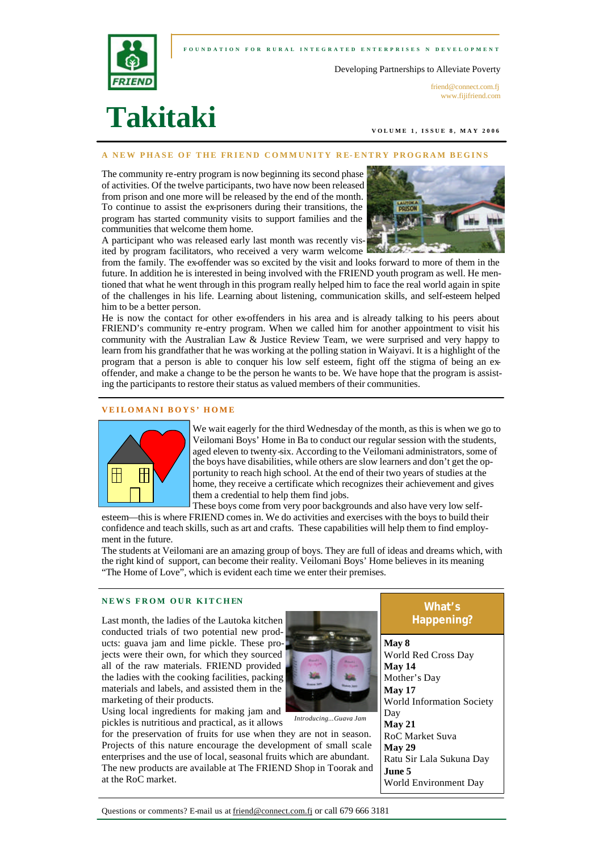



Developing Partnerships to Alleviate Poverty

friend@connect.com.fi www.fijifriend.com

# **Takitaki**

**VOLUME 1, ISSUE 8, M AY 2006** 

#### **A NEW PHASE OF THE FRIEND COMMUNITY RE- ENTRY PROGRAM BEGINS**

The community re-entry program is now beginning its second phase of activities. Of the twelve participants, two have now been released from prison and one more will be released by the end of the month. To continue to assist the ex-prisoners during their transitions, the program has started community visits to support families and the communities that welcome them home.

A participant who was released early last month was recently visited by program facilitators, who received a very warm welcome



from the family. The ex-offender was so excited by the visit and looks forward to more of them in the future. In addition he is interested in being involved with the FRIEND youth program as well. He mentioned that what he went through in this program really helped him to face the real world again in spite of the challenges in his life. Learning about listening, communication skills, and self-esteem helped him to be a better person.

He is now the contact for other ex-offenders in his area and is already talking to his peers about FRIEND's community re-entry program. When we called him for another appointment to visit his community with the Australian Law & Justice Review Team, we were surprised and very happy to learn from his grandfather that he was working at the polling station in Waiyavi. It is a highlight of the program that a person is able to conquer his low self esteem, fight off the stigma of being an exoffender, and make a change to be the person he wants to be. We have hope that the program is assisting the participants to restore their status as valued members of their communities.

#### **VEILOMANI BOYS' HOME**



We wait eagerly for the third Wednesday of the month, as this is when we go to Veilomani Boys' Home in Ba to conduct our regular session with the students, aged eleven to twenty-six. According to the Veilomani administrators, some of the boys have disabilities, while others are slow learners and don't get the opportunity to reach high school. At the end of their two years of studies at the home, they receive a certificate which recognizes their achievement and gives them a credential to help them find jobs.

These boys come from very poor backgrounds and also have very low selfesteem—this is where FRIEND comes in. We do activities and exercises with the boys to build their confidence and teach skills, such as art and crafts. These capabilities will help them to find employment in the future.

The students at Veilomani are an amazing group of boys. They are full of ideas and dreams which, with the right kind of support, can become their reality. Veilomani Boys' Home believes in its meaning "The Home of Love", which is evident each time we enter their premises.

#### **NEWS FROM OUR KITCHEN**

Last month, the ladies of the Lautoka kitchen conducted trials of two potential new products: guava jam and lime pickle. These projects were their own, for which they sourced all of the raw materials. FRIEND provided the ladies with the cooking facilities, packing materials and labels, and assisted them in the marketing of their products.



for the preservation of fruits for use when they are not in season. Projects of this nature encourage the development of small scale enterprises and the use of local, seasonal fruits which are abundant. The new products are available at The FRIEND Shop in Toorak and at the RoC market.



*Introducing...Guava Jam*

# **What's Happening?**

**May 8** World Red Cross Day **May 14** Mother's Day **May 17** World Information Society Day **May 21** RoC Market Suva **May 29** Ratu Sir Lala Sukuna Day **June 5** World Environment Day